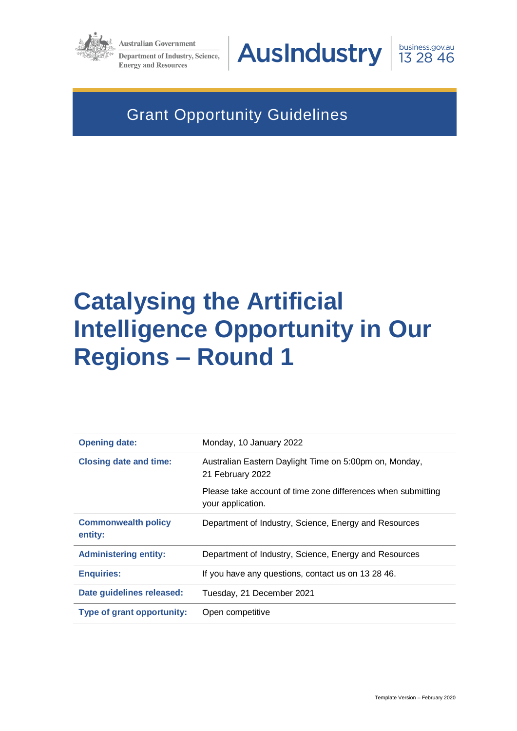

**Australian Government** Department of Industry, Science, **Energy and Resources** 



business.gov.au 13 28 46

## Grant Opportunity Guidelines

# **Catalysing the Artificial Intelligence Opportunity in Our Regions – Round 1**

| <b>Opening date:</b>                  | Monday, 10 January 2022                                                           |
|---------------------------------------|-----------------------------------------------------------------------------------|
| <b>Closing date and time:</b>         | Australian Eastern Daylight Time on 5:00pm on, Monday,<br>21 February 2022        |
|                                       | Please take account of time zone differences when submitting<br>your application. |
| <b>Commonwealth policy</b><br>entity: | Department of Industry, Science, Energy and Resources                             |
| <b>Administering entity:</b>          | Department of Industry, Science, Energy and Resources                             |
| <b>Enquiries:</b>                     | If you have any questions, contact us on 13 28 46.                                |
| Date guidelines released:             | Tuesday, 21 December 2021                                                         |
| <b>Type of grant opportunity:</b>     | Open competitive                                                                  |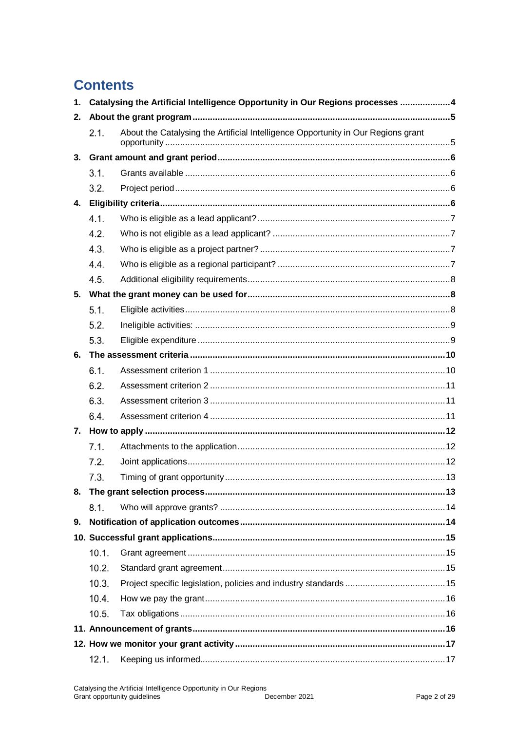## **Contents**

| 1. | Catalysing the Artificial Intelligence Opportunity in Our Regions processes 4 |                                                                                   |  |
|----|-------------------------------------------------------------------------------|-----------------------------------------------------------------------------------|--|
| 2. |                                                                               |                                                                                   |  |
|    | 2.1.                                                                          | About the Catalysing the Artificial Intelligence Opportunity in Our Regions grant |  |
|    |                                                                               |                                                                                   |  |
|    | 3.1.                                                                          |                                                                                   |  |
|    | 3.2.                                                                          |                                                                                   |  |
| 4. |                                                                               |                                                                                   |  |
|    | 4.1.                                                                          |                                                                                   |  |
|    | 4.2.                                                                          |                                                                                   |  |
|    | 4.3.                                                                          |                                                                                   |  |
|    | 4.4.                                                                          |                                                                                   |  |
|    | 4.5.                                                                          |                                                                                   |  |
|    |                                                                               |                                                                                   |  |
|    | 5.1.                                                                          |                                                                                   |  |
|    | 5.2.                                                                          |                                                                                   |  |
|    | 5.3.                                                                          |                                                                                   |  |
| 6. |                                                                               |                                                                                   |  |
|    | 6.1.                                                                          |                                                                                   |  |
|    | 6.2.                                                                          |                                                                                   |  |
|    | 6.3.                                                                          |                                                                                   |  |
|    | 6.4.                                                                          |                                                                                   |  |
|    |                                                                               |                                                                                   |  |
|    | 7.1.                                                                          |                                                                                   |  |
|    | 7.2.                                                                          |                                                                                   |  |
|    | 7.3.                                                                          |                                                                                   |  |
| 8. |                                                                               |                                                                                   |  |
|    | 8.1.                                                                          |                                                                                   |  |
| 9. |                                                                               |                                                                                   |  |
|    |                                                                               |                                                                                   |  |
|    | 10.1.                                                                         |                                                                                   |  |
|    | 10.2.                                                                         |                                                                                   |  |
|    | 10.3.                                                                         |                                                                                   |  |
|    | 10.4.                                                                         |                                                                                   |  |
|    | 10.5.                                                                         |                                                                                   |  |
|    |                                                                               |                                                                                   |  |
|    |                                                                               |                                                                                   |  |
|    | 12.1.                                                                         |                                                                                   |  |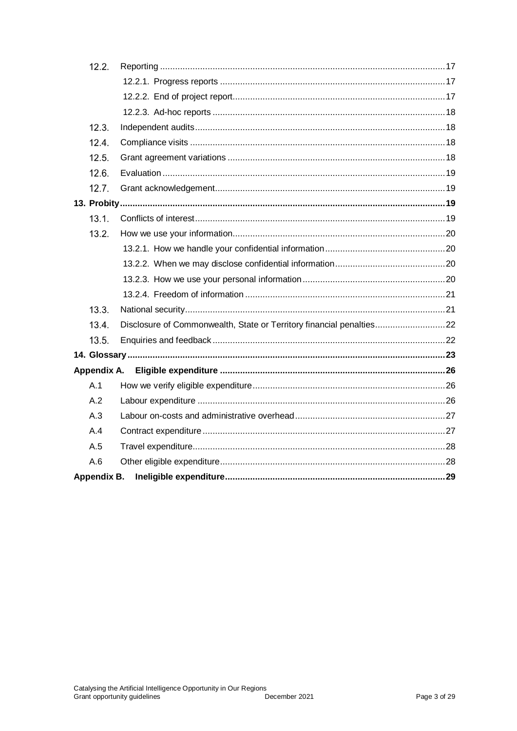| 12.2.       |             |                                                                      |  |
|-------------|-------------|----------------------------------------------------------------------|--|
|             |             |                                                                      |  |
|             |             |                                                                      |  |
|             |             |                                                                      |  |
| 12.3.       |             |                                                                      |  |
| 12.4.       |             |                                                                      |  |
| 12.5.       |             |                                                                      |  |
| 12.6.       |             |                                                                      |  |
| 12.7.       |             |                                                                      |  |
|             |             |                                                                      |  |
| 13.1.       |             |                                                                      |  |
| 13.2.       |             |                                                                      |  |
|             |             |                                                                      |  |
|             |             |                                                                      |  |
|             |             |                                                                      |  |
|             |             |                                                                      |  |
| 13.3.       |             |                                                                      |  |
| 13.4.       |             | Disclosure of Commonwealth, State or Territory financial penalties22 |  |
| 13.5.       |             |                                                                      |  |
|             |             |                                                                      |  |
|             | Appendix A. |                                                                      |  |
| A.1         |             |                                                                      |  |
| A.2         |             |                                                                      |  |
| A.3         |             |                                                                      |  |
| A.4         |             |                                                                      |  |
| A.5         |             |                                                                      |  |
| A.6         |             |                                                                      |  |
| Appendix B. |             |                                                                      |  |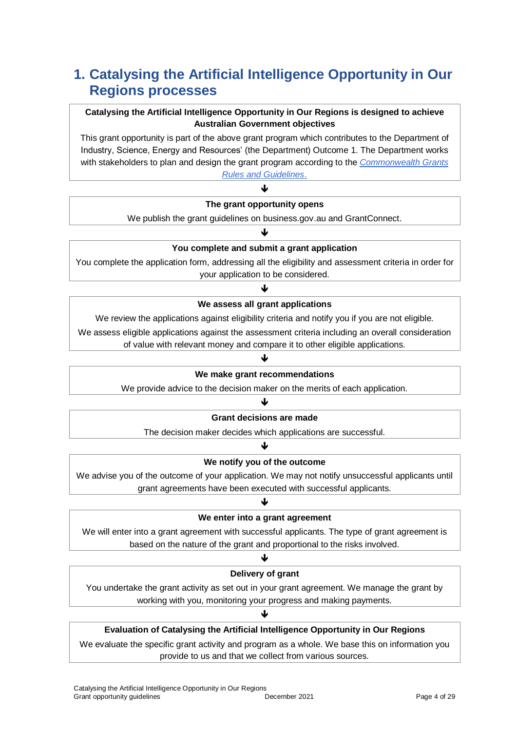## **1. Catalysing the Artificial Intelligence Opportunity in Our Regions processes**

## **Catalysing the Artificial Intelligence Opportunity in Our Regions is designed to achieve Australian Government objectives**

This grant opportunity is part of the above grant program which contributes to the Department of Industry, Science, Energy and Resources' (the Department) Outcome 1. The Department works with stakeholders to plan and design the grant program according to the *[Commonwealth Grants](https://www.finance.gov.au/government/commonwealth-grants/commonwealth-grants-rules-guidelines)* 

*[Rules and Guidelines](https://www.finance.gov.au/government/commonwealth-grants/commonwealth-grants-rules-guidelines)*. J

### **The grant opportunity opens**

We publish the grant guidelines on business.gov.au and GrantConnect. J

## **You complete and submit a grant application**

You complete the application form, addressing all the eligibility and assessment criteria in order for your application to be considered.

## ብ **We assess all grant applications**

We review the applications against eligibility criteria and notify you if you are not eligible.

We assess eligible applications against the assessment criteria including an overall consideration

### of value with relevant money and compare it to other eligible applications. ↓

### **We make grant recommendations**

We provide advice to the decision maker on the merits of each application.

### ♦

### **Grant decisions are made**

The decision maker decides which applications are successful. J

## **We notify you of the outcome**

We advise you of the outcome of your application. We may not notify unsuccessful applicants until grant agreements have been executed with successful applicants.

## J **We enter into a grant agreement**

We will enter into a grant agreement with successful applicants. The type of grant agreement is based on the nature of the grant and proportional to the risks involved.

### ብ

### **Delivery of grant**

You undertake the grant activity as set out in your grant agreement. We manage the grant by working with you, monitoring your progress and making payments.

### ♦

## **Evaluation of Catalysing the Artificial Intelligence Opportunity in Our Regions**

We evaluate the specific grant activity and program as a whole. We base this on information you provide to us and that we collect from various sources.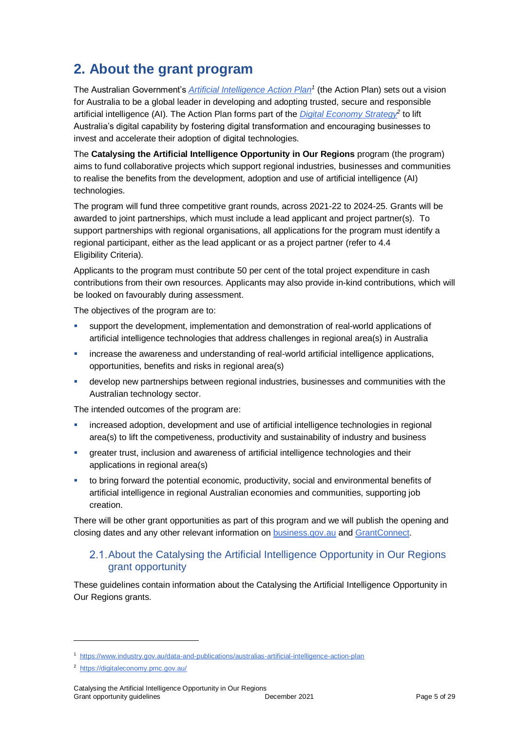## **2. About the grant program**

The Australian Government's *[Artificial Intelligence Action Plan](https://www.industry.gov.au/data-and-publications/australias-artificial-intelligence-action-plan/how-ai-is-transforming-australia)<sup>1</sup>* (the Action Plan) sets out a vision for Australia to be a global leader in developing and adopting trusted, secure and responsible artificial intelligence (AI). The Action Plan forms part of the *[Digital Economy Strategy](https://digitaleconomy.pmc.gov.au/)<sup>2</sup>* to lift Australia's digital capability by fostering digital transformation and encouraging businesses to invest and accelerate their adoption of digital technologies.

The **Catalysing the Artificial Intelligence Opportunity in Our Regions** program (the program) aims to fund collaborative projects which support regional industries, businesses and communities to realise the benefits from the development, adoption and use of artificial intelligence (AI) technologies.

The program will fund three competitive grant rounds, across 2021-22 to 2024-25. Grants will be awarded to joint partnerships, which must include a lead applicant and project partner(s). To support partnerships with regional organisations, all applications for the program must identify a regional participant, either as the lead applicant or as a project partner (refer to 4.4 Eligibility Criteria).

Applicants to the program must contribute 50 per cent of the total project expenditure in cash contributions from their own resources. Applicants may also provide in-kind contributions, which will be looked on favourably during assessment.

The objectives of the program are to:

- support the development, implementation and demonstration of real-world applications of artificial intelligence technologies that address challenges in regional area(s) in Australia
- increase the awareness and understanding of real-world artificial intelligence applications, opportunities, benefits and risks in regional area(s)
- develop new partnerships between regional industries, businesses and communities with the Australian technology sector.

The intended outcomes of the program are:

- increased adoption, development and use of artificial intelligence technologies in regional area(s) to lift the competiveness, productivity and sustainability of industry and business
- greater trust, inclusion and awareness of artificial intelligence technologies and their applications in regional area(s)
- to bring forward the potential economic, productivity, social and environmental benefits of artificial intelligence in regional Australian economies and communities, supporting job creation.

There will be other grant opportunities as part of this program and we will publish the opening and closing dates and any other relevant information o[n business.gov.au](https://business.gov.au/grants-and-programs/catalysing-the-artificial-intelligence-opportunity-in-our-regions-round-1) and [GrantConnect.](http://www.grants.gov.au/)

## 2.1. About the Catalysing the Artificial Intelligence Opportunity in Our Regions grant opportunity

These guidelines contain information about the Catalysing the Artificial Intelligence Opportunity in Our Regions grants.

<sup>1</sup> <https://www.industry.gov.au/data-and-publications/australias-artificial-intelligence-action-plan>

<sup>&</sup>lt;sup>2</sup><https://digitaleconomy.pmc.gov.au/>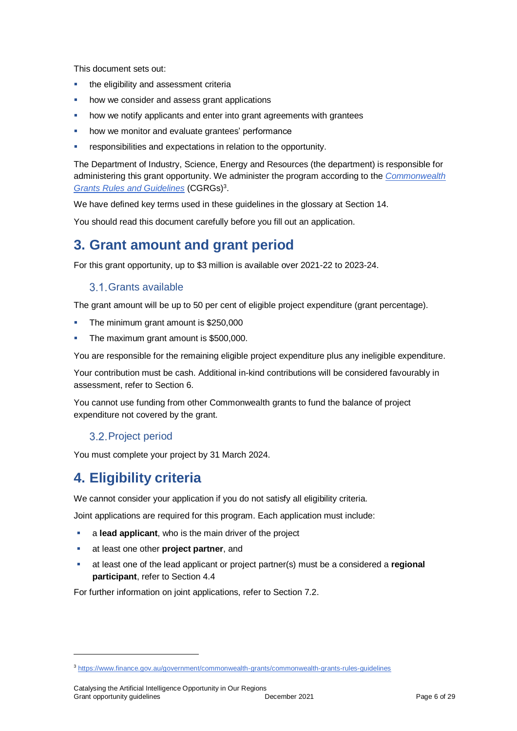This document sets out:

- the eligibility and assessment criteria
- how we consider and assess grant applications
- how we notify applicants and enter into grant agreements with grantees
- how we monitor and evaluate grantees' performance
- responsibilities and expectations in relation to the opportunity.

The Department of Industry, Science, Energy and Resources (the department) is responsible for administering this grant opportunity. We administer the program according to the *[Commonwealth](https://www.finance.gov.au/government/commonwealth-grants/commonwealth-grants-rules-guidelines)  [Grants Rules and Guidelines](https://www.finance.gov.au/government/commonwealth-grants/commonwealth-grants-rules-guidelines)* (CGRGs)<sup>3</sup> .

We have defined key terms used in these guidelines in the glossary at Sectio[n 14.](#page-22-0)

You should read this document carefully before you fill out an application.

## **3. Grant amount and grant period**

For this grant opportunity, up to \$3 million is available over 2021-22 to 2023-24.

## 3.1. Grants available

The grant amount will be up to 50 per cent of eligible project expenditure (grant percentage).

- The minimum grant amount is \$250,000
- The maximum grant amount is \$500,000.

You are responsible for the remaining eligible project expenditure plus any ineligible expenditure.

Your contribution must be cash. Additional in-kind contributions will be considered favourably in assessment, refer to Section 6.

You cannot use funding from other Commonwealth grants to fund the balance of project expenditure not covered by the grant.

## 3.2. Project period

You must complete your project by 31 March 2024.

## **4. Eligibility criteria**

l

We cannot consider your application if you do not satisfy all eligibility criteria.

Joint applications are required for this program. Each application must include:

- **a lead applicant**, who is the main driver of the project
- at least one other **project partner**, and
- at least one of the lead applicant or project partner(s) must be a considered a **regional participant**, refer to Section 4.4

For further information on joint applications, refer to Section 7.2.

<sup>3</sup> <https://www.finance.gov.au/government/commonwealth-grants/commonwealth-grants-rules-guidelines>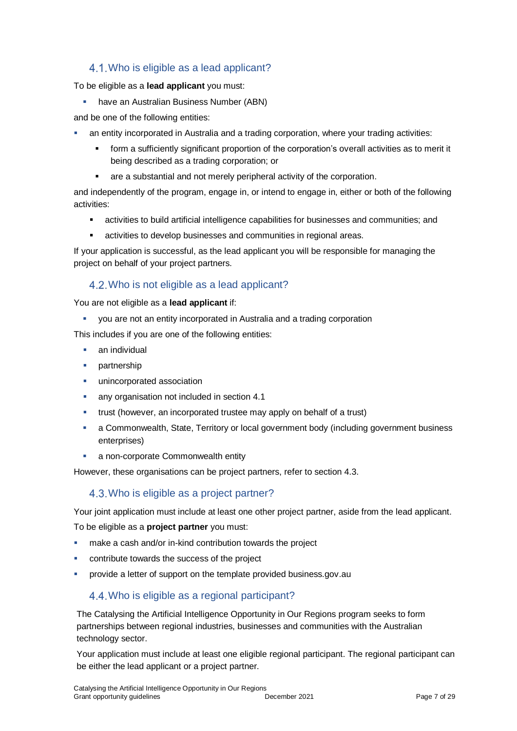## <span id="page-6-0"></span>4.1. Who is eligible as a lead applicant?

To be eligible as a **lead applicant** you must:

**have an Australian Business Number (ABN)** 

and be one of the following entities:

- an entity incorporated in Australia and a trading corporation, where your trading activities:
	- form a sufficiently significant proportion of the corporation's overall activities as to merit it being described as a trading corporation; or
	- are a substantial and not merely peripheral activity of the corporation.

and independently of the program, engage in, or intend to engage in, either or both of the following activities:

- activities to build artificial intelligence capabilities for businesses and communities; and
- activities to develop businesses and communities in regional areas.

If your application is successful, as the lead applicant you will be responsible for managing the project on behalf of your project partners.

## Who is not eligible as a lead applicant?

You are not eligible as a **lead applicant** if:

you are not an entity incorporated in Australia and a trading corporation

This includes if you are one of the following entities:

- an individual
- partnership
- **unincorporated association**
- **any organisation not included in section [4.1](#page-6-0)**
- trust (however, an incorporated trustee may apply on behalf of a trust)
- a Commonwealth, State, Territory or local government body (including government business enterprises)
- a non-corporate Commonwealth entity

However, these organisations can be project partners, refer to section 4.3.

## 4.3. Who is eligible as a project partner?

Your joint application must include at least one other project partner, aside from the lead applicant.

To be eligible as a **project partner** you must:

- make a cash and/or in-kind contribution towards the project
- contribute towards the success of the project
- **•** provide a letter of support on the template provided business.gov.au

## Who is eligible as a regional participant?

The Catalysing the Artificial Intelligence Opportunity in Our Regions program seeks to form partnerships between regional industries, businesses and communities with the Australian technology sector.

Your application must include at least one eligible regional participant. The regional participant can be either the lead applicant or a project partner.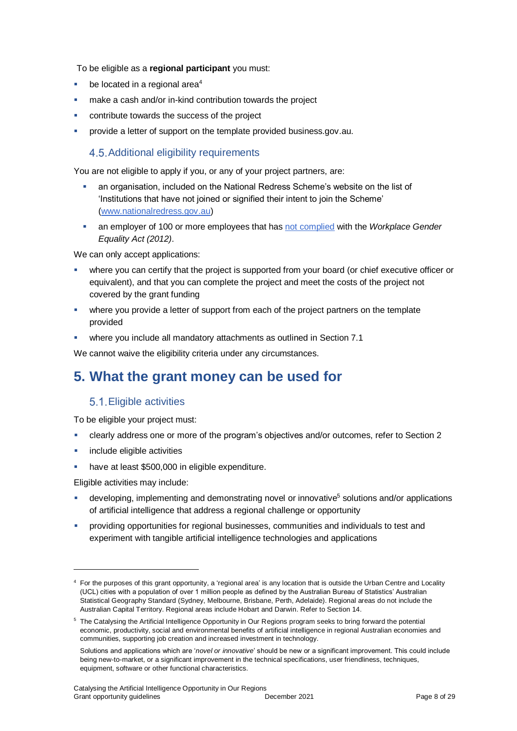To be eligible as a **regional participant** you must:

- be located in a regional area<sup>4</sup>
- make a cash and/or in-kind contribution towards the project
- contribute towards the success of the project
- provide a letter of support on the template provided business.gov.au.

## 4.5. Additional eligibility requirements

You are not eligible to apply if you, or any of your project partners, are:

- an organisation, included on the National Redress Scheme's website on the list of 'Institutions that have not joined or signified their intent to join the Scheme' [\(www.nationalredress.gov.au\)](http://www.nationalredress.gov.au/)
- an employer of 100 or more employees that has [not complied](https://www.wgea.gov.au/what-we-do/compliance-reporting/non-compliant-list) with the *Workplace Gender Equality Act (2012)*.

We can only accept applications:

- where you can certify that the project is supported from your board (or chief executive officer or equivalent), and that you can complete the project and meet the costs of the project not covered by the grant funding
- where you provide a letter of support from each of the project partners on the template provided
- where you include all mandatory attachments as outlined in Section 7.1

We cannot waive the eligibility criteria under any circumstances.

## **5. What the grant money can be used for**

## <span id="page-7-0"></span>5.1. Eligible activities

To be eligible your project must:

- clearly address one or more of the program's objectives and/or outcomes, refer to Section 2
- include eligible activities
- have at least \$500,000 in eligible expenditure.

Eligible activities may include:

- developing, implementing and demonstrating novel or innovative<sup>5</sup> solutions and/or applications of artificial intelligence that address a regional challenge or opportunity
- providing opportunities for regional businesses, communities and individuals to test and experiment with tangible artificial intelligence technologies and applications

<sup>4</sup> For the purposes of this grant opportunity, a 'regional area' is any location that is outside the Urban Centre and Locality (UCL) cities with a population of over 1 million people as defined by the Australian Bureau of Statistics' Australian Statistical Geography Standard (Sydney, Melbourne, Brisbane, Perth, Adelaide). Regional areas do not include the Australian Capital Territory. Regional areas include Hobart and Darwin. Refer to Section 14.

<sup>&</sup>lt;sup>5</sup> The Catalysing the Artificial Intelligence Opportunity in Our Regions program seeks to bring forward the potential economic, productivity, social and environmental benefits of artificial intelligence in regional Australian economies and communities, supporting job creation and increased investment in technology.

Solutions and applications which are '*novel or innovative*' should be new or a significant improvement. This could include being new-to-market, or a significant improvement in the technical specifications, user friendliness, techniques, equipment, software or other functional characteristics.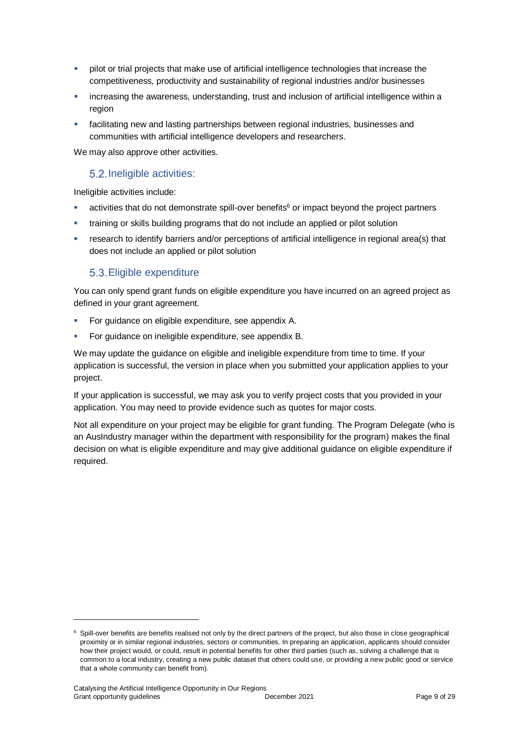- pilot or trial projects that make use of artificial intelligence technologies that increase the competitiveness, productivity and sustainability of regional industries and/or businesses
- increasing the awareness, understanding, trust and inclusion of artificial intelligence within a region
- facilitating new and lasting partnerships between regional industries, businesses and communities with artificial intelligence developers and researchers.

We may also approve other activities.

## 5.2. Ineligible activities:

Ineligible activities include:

- activities that do not demonstrate spill-over benefits<sup>6</sup> or impact beyond the project partners
- training or skills building programs that do not include an applied or pilot solution
- research to identify barriers and/or perceptions of artificial intelligence in regional area(s) that does not include an applied or pilot solution

## <span id="page-8-0"></span>Eligible expenditure

You can only spend grant funds on eligible expenditure you have incurred on an agreed project as defined in your grant agreement.

- For guidance on eligible expenditure, see appendix A.
- For guidance on ineligible expenditure, see appendix B.

We may update the guidance on eligible and ineligible expenditure from time to time. If your application is successful, the version in place when you submitted your application applies to your project.

If your application is successful, we may ask you to verify project costs that you provided in your application. You may need to provide evidence such as quotes for major costs.

Not all expenditure on your project may be eligible for grant funding. The Program Delegate (who is an AusIndustry manager within the department with responsibility for the program) makes the final decision on what is eligible expenditure and may give additional guidance on eligible expenditure if required.

<sup>&</sup>lt;sup>6</sup> Spill-over benefits are benefits realised not only by the direct partners of the project, but also those in close geographical proximity or in similar regional industries, sectors or communities. In preparing an application, applicants should consider how their project would, or could, result in potential benefits for other third parties (such as, solving a challenge that is common to a local industry, creating a new public dataset that others could use, or providing a new public good or service that a whole community can benefit from).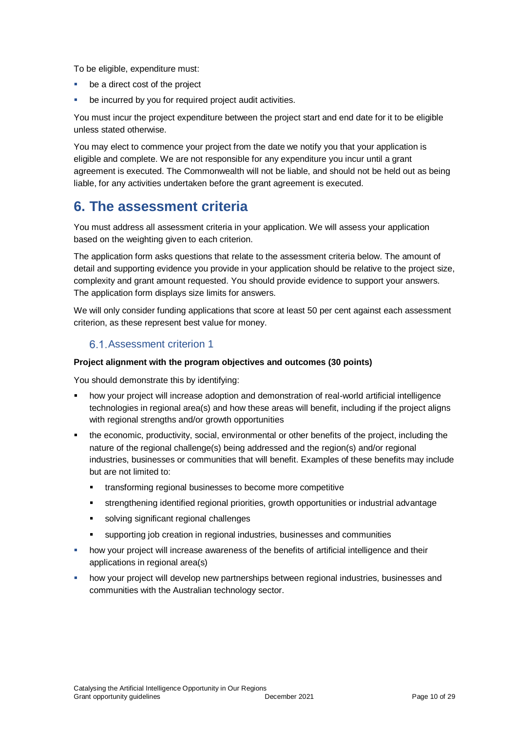To be eligible, expenditure must:

- be a direct cost of the project
- be incurred by you for required project audit activities.

You must incur the project expenditure between the project start and end date for it to be eligible unless stated otherwise.

You may elect to commence your project from the date we notify you that your application is eligible and complete. We are not responsible for any expenditure you incur until a grant agreement is executed. The Commonwealth will not be liable, and should not be held out as being liable, for any activities undertaken before the grant agreement is executed.

## **6. The assessment criteria**

You must address all assessment criteria in your application. We will assess your application based on the weighting given to each criterion.

The application form asks questions that relate to the assessment criteria below. The amount of detail and supporting evidence you provide in your application should be relative to the project size, complexity and grant amount requested. You should provide evidence to support your answers. The application form displays size limits for answers.

We will only consider funding applications that score at least 50 per cent against each assessment criterion, as these represent best value for money.

## 6.1. Assessment criterion 1

### **Project alignment with the program objectives and outcomes (30 points)**

You should demonstrate this by identifying:

- how your project will increase adoption and demonstration of real-world artificial intelligence technologies in regional area(s) and how these areas will benefit, including if the project aligns with regional strengths and/or growth opportunities
- the economic, productivity, social, environmental or other benefits of the project, including the nature of the regional challenge(s) being addressed and the region(s) and/or regional industries, businesses or communities that will benefit. Examples of these benefits may include but are not limited to:
	- **\*** transforming regional businesses to become more competitive
	- strengthening identified regional priorities, growth opportunities or industrial advantage
	- solving significant regional challenges
	- supporting job creation in regional industries, businesses and communities
- how your project will increase awareness of the benefits of artificial intelligence and their applications in regional area(s)
- how your project will develop new partnerships between regional industries, businesses and communities with the Australian technology sector.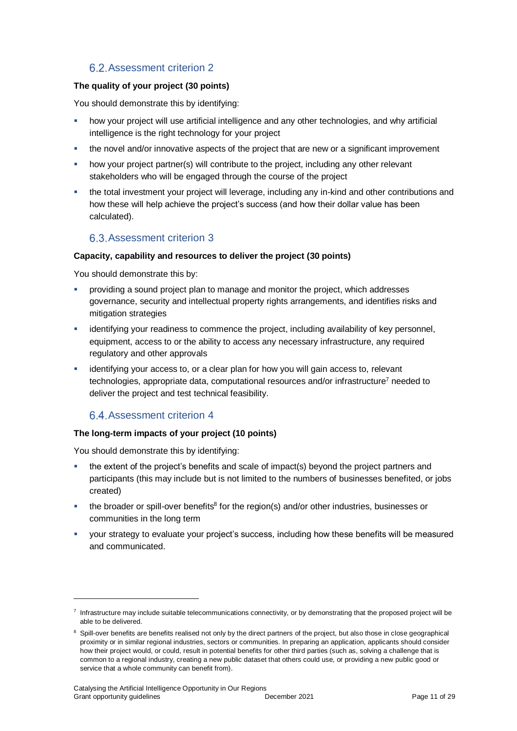## 6.2. Assessment criterion 2

### **The quality of your project (30 points)**

You should demonstrate this by identifying:

- how your project will use artificial intelligence and any other technologies, and why artificial intelligence is the right technology for your project
- the novel and/or innovative aspects of the project that are new or a significant improvement
- how your project partner(s) will contribute to the project, including any other relevant stakeholders who will be engaged through the course of the project
- the total investment your project will leverage, including any in-kind and other contributions and how these will help achieve the project's success (and how their dollar value has been calculated).

## 6.3. Assessment criterion 3

### **Capacity, capability and resources to deliver the project (30 points)**

You should demonstrate this by:

- providing a sound project plan to manage and monitor the project, which addresses governance, security and intellectual property rights arrangements, and identifies risks and mitigation strategies
- identifying your readiness to commence the project, including availability of key personnel, equipment, access to or the ability to access any necessary infrastructure, any required regulatory and other approvals
- identifying your access to, or a clear plan for how you will gain access to, relevant technologies, appropriate data, computational resources and/or infrastructure<sup>7</sup> needed to deliver the project and test technical feasibility.

## 6.4. Assessment criterion 4

## **The long-term impacts of your project (10 points)**

You should demonstrate this by identifying:

- the extent of the project's benefits and scale of impact(s) beyond the project partners and participants (this may include but is not limited to the numbers of businesses benefited, or jobs created)
- the broader or spill-over benefits<sup>8</sup> for the region(s) and/or other industries, businesses or communities in the long term
- your strategy to evaluate your project's success, including how these benefits will be measured and communicated.

<sup>&</sup>lt;sup>7</sup> Infrastructure may include suitable telecommunications connectivity, or by demonstrating that the proposed project will be able to be delivered.

<sup>&</sup>lt;sup>8</sup> Spill-over benefits are benefits realised not only by the direct partners of the project, but also those in close geographical proximity or in similar regional industries, sectors or communities. In preparing an application, applicants should consider how their project would, or could, result in potential benefits for other third parties (such as, solving a challenge that is common to a regional industry, creating a new public dataset that others could use, or providing a new public good or service that a whole community can benefit from).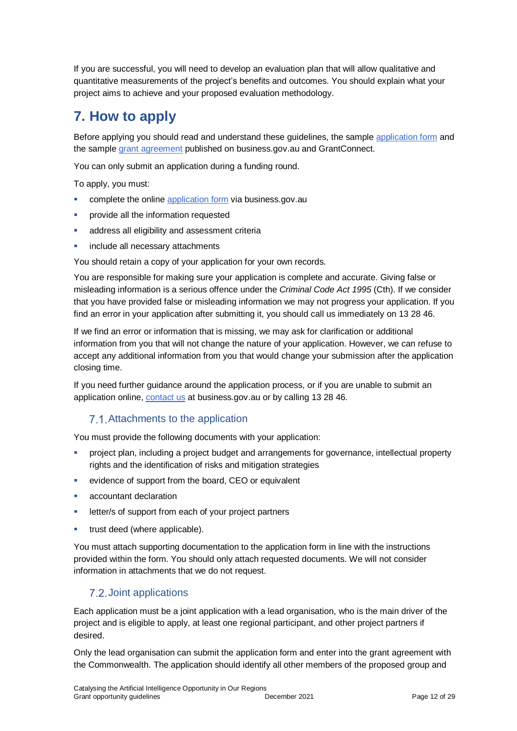If you are successful, you will need to develop an evaluation plan that will allow qualitative and quantitative measurements of the project's benefits and outcomes. You should explain what your project aims to achieve and your proposed evaluation methodology.

## **7. How to apply**

Before applying you should read and understand these guidelines, the sample [application form](https://business.gov.au/grants-and-programs/catalysing-the-artificial-intelligence-opportunity-in-our-regions-round-1#key-documents) and the sampl[e grant agreement](https://business.gov.au/grants-and-programs/catalysing-the-artificial-intelligence-opportunity-in-our-regions-round-1#key-documents) published on business.gov.au and GrantConnect.

You can only submit an application during a funding round.

To apply, you must:

- complete the online [application form](https://business.gov.au/grants-and-programs/catalysing-the-artificial-intelligence-opportunity-in-our-regions-round-1#applying) via business.gov.au
- provide all the information requested
- address all eligibility and assessment criteria
- include all necessary attachments

You should retain a copy of your application for your own records.

You are responsible for making sure your application is complete and accurate. Giving false or misleading information is a serious offence under the *Criminal Code Act 1995* (Cth). If we consider that you have provided false or misleading information we may not progress your application. If you find an error in your application after submitting it, you should call us immediately on 13 28 46.

If we find an error or information that is missing, we may ask for clarification or additional information from you that will not change the nature of your application. However, we can refuse to accept any additional information from you that would change your submission after the application closing time.

If you need further guidance around the application process, or if you are unable to submit an application online, [contact us](https://www.business.gov.au/contact-us) at business.gov.au or by calling 13 28 46.

## 7.1. Attachments to the application

You must provide the following documents with your application:

- project plan, including a project budget and arrangements for governance, intellectual property rights and the identification of risks and mitigation strategies
- evidence of support from the board, CEO or equivalent
- accountant declaration
- letter/s of support from each of your project partners
- trust deed (where applicable).

You must attach supporting documentation to the application form in line with the instructions provided within the form. You should only attach requested documents. We will not consider information in attachments that we do not request.

## 7.2. Joint applications

Each application must be a joint application with a lead organisation, who is the main driver of the project and is eligible to apply, at least one regional participant, and other project partners if desired.

Only the lead organisation can submit the application form and enter into the grant agreement with the Commonwealth. The application should identify all other members of the proposed group and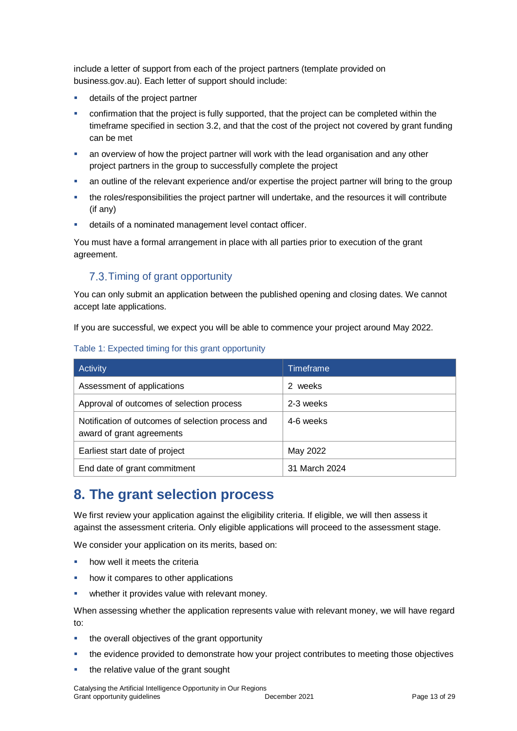include a letter of support from each of the project partners (template provided on business.gov.au). Each letter of support should include:

- details of the project partner
- confirmation that the project is fully supported, that the project can be completed within the timeframe specified in section 3.2, and that the cost of the project not covered by grant funding can be met
- an overview of how the project partner will work with the lead organisation and any other project partners in the group to successfully complete the project
- an outline of the relevant experience and/or expertise the project partner will bring to the group
- the roles/responsibilities the project partner will undertake, and the resources it will contribute (if any)
- details of a nominated management level contact officer.

You must have a formal arrangement in place with all parties prior to execution of the grant agreement.

## 7.3. Timing of grant opportunity

You can only submit an application between the published opening and closing dates. We cannot accept late applications.

If you are successful, we expect you will be able to commence your project around May 2022.

#### Table 1: Expected timing for this grant opportunity

| Activity                                                                       | <b>Timeframe</b> |
|--------------------------------------------------------------------------------|------------------|
| Assessment of applications                                                     | weeks<br>2       |
| Approval of outcomes of selection process                                      | 2-3 weeks        |
| Notification of outcomes of selection process and<br>award of grant agreements | 4-6 weeks        |
| Earliest start date of project                                                 | May 2022         |
| End date of grant commitment                                                   | 31 March 2024    |

## **8. The grant selection process**

We first review your application against the eligibility criteria. If eligible, we will then assess it against the assessment criteria. Only eligible applications will proceed to the assessment stage.

We consider your application on its merits, based on:

- how well it meets the criteria
- how it compares to other applications
- **•** whether it provides value with relevant money.

When assessing whether the application represents value with relevant money, we will have regard to:

- the overall objectives of the grant opportunity
- the evidence provided to demonstrate how your project contributes to meeting those objectives
- the relative value of the grant sought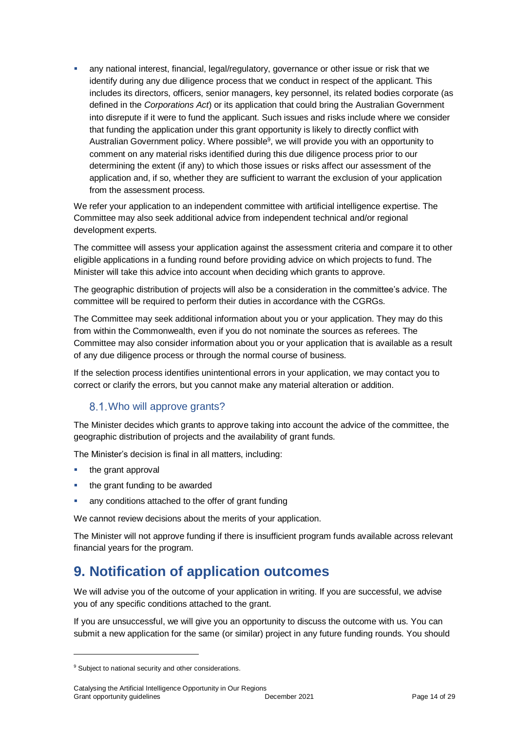any national interest, financial, legal/regulatory, governance or other issue or risk that we identify during any due diligence process that we conduct in respect of the applicant. This includes its directors, officers, senior managers, key personnel, its related bodies corporate (as defined in the *Corporations Act*) or its application that could bring the Australian Government into disrepute if it were to fund the applicant. Such issues and risks include where we consider that funding the application under this grant opportunity is likely to directly conflict with Australian Government policy. Where possible<sup>9</sup>, we will provide you with an opportunity to comment on any material risks identified during this due diligence process prior to our determining the extent (if any) to which those issues or risks affect our assessment of the application and, if so, whether they are sufficient to warrant the exclusion of your application from the assessment process.

We refer your application to an independent committee with artificial intelligence expertise. The Committee may also seek additional advice from independent technical and/or regional development experts.

The committee will assess your application against the assessment criteria and compare it to other eligible applications in a funding round before providing advice on which projects to fund. The Minister will take this advice into account when deciding which grants to approve.

The geographic distribution of projects will also be a consideration in the committee's advice. The committee will be required to perform their duties in accordance with the CGRGs.

The Committee may seek additional information about you or your application. They may do this from within the Commonwealth, even if you do not nominate the sources as referees. The Committee may also consider information about you or your application that is available as a result of any due diligence process or through the normal course of business.

If the selection process identifies unintentional errors in your application, we may contact you to correct or clarify the errors, but you cannot make any material alteration or addition.

## 8.1. Who will approve grants?

The Minister decides which grants to approve taking into account the advice of the committee, the geographic distribution of projects and the availability of grant funds.

The Minister's decision is final in all matters, including:

• the grant approval

l

- the grant funding to be awarded
- any conditions attached to the offer of grant funding

We cannot review decisions about the merits of your application.

The Minister will not approve funding if there is insufficient program funds available across relevant financial years for the program.

## **9. Notification of application outcomes**

We will advise you of the outcome of your application in writing. If you are successful, we advise you of any specific conditions attached to the grant.

If you are unsuccessful, we will give you an opportunity to discuss the outcome with us. You can submit a new application for the same (or similar) project in any future funding rounds. You should

<sup>&</sup>lt;sup>9</sup> Subject to national security and other considerations.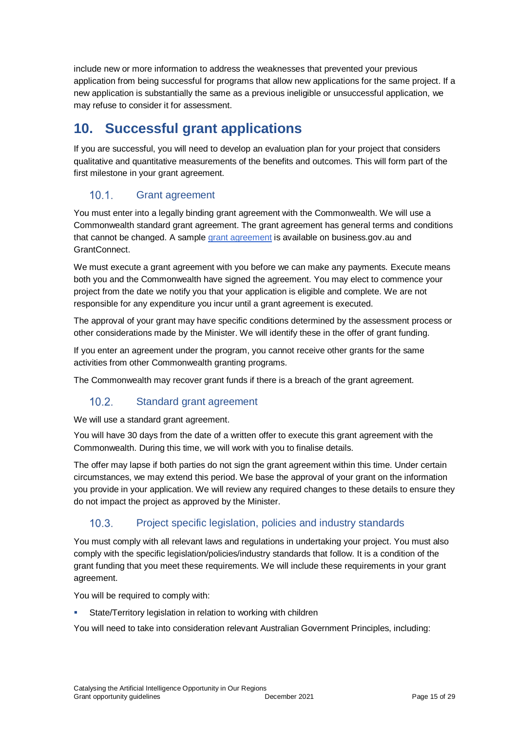include new or more information to address the weaknesses that prevented your previous application from being successful for programs that allow new applications for the same project. If a new application is substantially the same as a previous ineligible or unsuccessful application, we may refuse to consider it for assessment.

## **10. Successful grant applications**

If you are successful, you will need to develop an evaluation plan for your project that considers qualitative and quantitative measurements of the benefits and outcomes. This will form part of the first milestone in your grant agreement.

#### $10.1.$ Grant agreement

You must enter into a legally binding grant agreement with the Commonwealth. We will use a Commonwealth standard grant agreement. The grant agreement has general terms and conditions that cannot be changed. A sampl[e grant agreement](https://business.gov.au/grants-and-programs/catalysing-the-artificial-intelligence-opportunity-in-our-regions-round-1#key-documents) is available on business.gov.au and GrantConnect.

We must execute a grant agreement with you before we can make any payments. Execute means both you and the Commonwealth have signed the agreement. You may elect to commence your project from the date we notify you that your application is eligible and complete. We are not responsible for any expenditure you incur until a grant agreement is executed.

The approval of your grant may have specific conditions determined by the assessment process or other considerations made by the Minister. We will identify these in the offer of grant funding.

If you enter an agreement under the program, you cannot receive other grants for the same activities from other Commonwealth granting programs.

The Commonwealth may recover grant funds if there is a breach of the grant agreement.

#### $10.2.$ Standard grant agreement

We will use a standard grant agreement.

You will have 30 days from the date of a written offer to execute this grant agreement with the Commonwealth. During this time, we will work with you to finalise details.

The offer may lapse if both parties do not sign the grant agreement within this time. Under certain circumstances, we may extend this period. We base the approval of your grant on the information you provide in your application. We will review any required changes to these details to ensure they do not impact the project as approved by the Minister.

#### $10.3.$ Project specific legislation, policies and industry standards

You must comply with all relevant laws and regulations in undertaking your project. You must also comply with the specific legislation/policies/industry standards that follow. It is a condition of the grant funding that you meet these requirements. We will include these requirements in your grant agreement.

You will be required to comply with:

State/Territory legislation in relation to working with children

You will need to take into consideration relevant Australian Government Principles, including: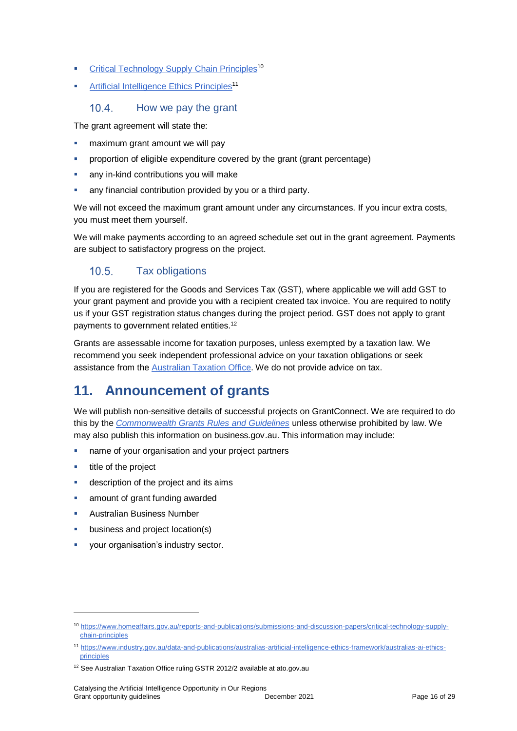- [Critical Technology Supply Chain Principles](https://www.homeaffairs.gov.au/reports-and-publications/submissions-and-discussion-papers/critical-technology-supply-chain-principles)<sup>10</sup>
- **[Artificial Intelligence Ethics Principles](https://www.industry.gov.au/data-and-publications/australias-artificial-intelligence-ethics-framework/australias-ai-ethics-principles)<sup>11</sup>**

#### $10<sub>4</sub>$ How we pay the grant

The grant agreement will state the:

- maximum grant amount we will pay
- proportion of eligible expenditure covered by the grant (grant percentage)
- any in-kind contributions you will make
- any financial contribution provided by you or a third party.

We will not exceed the maximum grant amount under any circumstances. If you incur extra costs, you must meet them yourself.

We will make payments according to an agreed schedule set out in the grant agreement. Payments are subject to satisfactory progress on the project.

#### $10.5.$ Tax obligations

If you are registered for the Goods and Services Tax (GST), where applicable we will add GST to your grant payment and provide you with a recipient created tax invoice. You are required to notify us if your GST registration status changes during the project period. GST does not apply to grant payments to government related entities.<sup>12</sup>

Grants are assessable income for taxation purposes, unless exempted by a taxation law. We recommend you seek independent professional advice on your taxation obligations or seek assistance from the [Australian Taxation Office.](https://www.ato.gov.au/) We do not provide advice on tax.

## **11. Announcement of grants**

We will publish non-sensitive details of successful projects on GrantConnect. We are required to do this by the *[Commonwealth Grants Rules and Guidelines](https://www.finance.gov.au/government/commonwealth-grants/commonwealth-grants-rules-guidelines)* unless otherwise prohibited by law. We may also publish this information on business.gov.au. This information may include:

- name of your organisation and your project partners
- $\blacksquare$  title of the project

- description of the project and its aims
- amount of grant funding awarded
- Australian Business Number
- business and project location(s)
- your organisation's industry sector.

<sup>10</sup> [https://www.homeaffairs.gov.au/reports-and-publications/submissions-and-discussion-papers/critical-technology-supply](https://www.homeaffairs.gov.au/reports-and-publications/submissions-and-discussion-papers/critical-technology-supply-chain-principles)[chain-principles](https://www.homeaffairs.gov.au/reports-and-publications/submissions-and-discussion-papers/critical-technology-supply-chain-principles)

<sup>11</sup> [https://www.industry.gov.au/data-and-publications/australias-artificial-intelligence-ethics-framework/australias-ai-ethics](https://www.industry.gov.au/data-and-publications/australias-artificial-intelligence-ethics-framework/australias-ai-ethics-principles)[principles](https://www.industry.gov.au/data-and-publications/australias-artificial-intelligence-ethics-framework/australias-ai-ethics-principles)

<sup>&</sup>lt;sup>12</sup> See Australian Taxation Office ruling GSTR 2012/2 available at ato.gov.au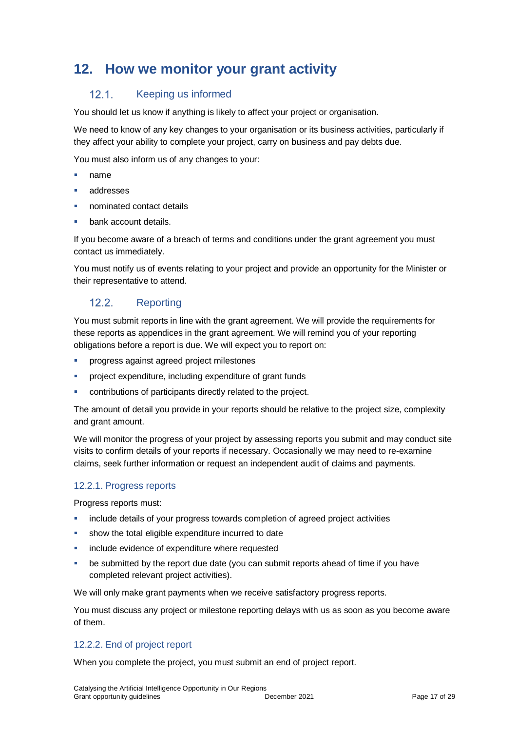## **12. How we monitor your grant activity**

#### $12.1.$ Keeping us informed

You should let us know if anything is likely to affect your project or organisation.

We need to know of any key changes to your organisation or its business activities, particularly if they affect your ability to complete your project, carry on business and pay debts due.

You must also inform us of any changes to your:

- name
- addresses
- nominated contact details
- bank account details.

If you become aware of a breach of terms and conditions under the grant agreement you must contact us immediately.

You must notify us of events relating to your project and provide an opportunity for the Minister or their representative to attend.

#### $12.2.$ **Reporting**

You must submit reports in line with the [grant agreement.](file://///prod.protected.ind/User/user03/LLau2/insert%20link%20here) We will provide the requirements for these reports as appendices in the grant agreement. We will remind you of your reporting obligations before a report is due. We will expect you to report on:

- progress against agreed project milestones
- project expenditure, including expenditure of grant funds
- contributions of participants directly related to the project.

The amount of detail you provide in your reports should be relative to the project size, complexity and grant amount.

We will monitor the progress of your project by assessing reports you submit and may conduct site visits to confirm details of your reports if necessary. Occasionally we may need to re-examine claims, seek further information or request an independent audit of claims and payments.

## 12.2.1. Progress reports

Progress reports must:

- include details of your progress towards completion of agreed project activities
- **show the total eligible expenditure incurred to date**
- include evidence of expenditure where requested
- be submitted by the report due date (you can submit reports ahead of time if you have completed relevant project activities).

We will only make grant payments when we receive satisfactory progress reports.

You must discuss any project or milestone reporting delays with us as soon as you become aware of them.

## 12.2.2. End of project report

When you complete the project, you must submit an end of project report.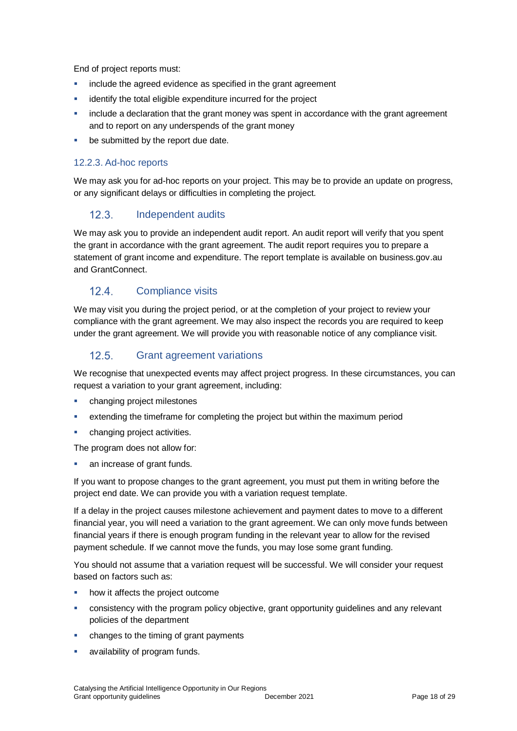End of project reports must:

- include the agreed evidence as specified in the grant agreement
- **EXEDENT** identify the total eligible expenditure incurred for the project
- **EXED** include a declaration that the grant money was spent in accordance with the grant agreement and to report on any underspends of the grant money
- **•** be submitted by the report due date.

## 12.2.3. Ad-hoc reports

We may ask you for ad-hoc reports on your project. This may be to provide an update on progress, or any significant delays or difficulties in completing the project.

#### $12.3.$ Independent audits

We may ask you to provide an independent audit report. An audit report will verify that you spent the grant in accordance with the grant agreement. The audit report requires you to prepare a statement of grant income and expenditure. The report template is available on business.gov.au and GrantConnect.

#### $124$ Compliance visits

We may visit you during the project period, or at the completion of your project to review your compliance with the grant agreement. We may also inspect the records you are required to keep under the grant agreement. We will provide you with reasonable notice of any compliance visit.

#### $12.5.$ Grant agreement variations

We recognise that unexpected events may affect project progress. In these circumstances, you can request a variation to your grant agreement, including:

- changing project milestones
- extending the timeframe for completing the project but within the maximum period
- **•** changing project activities.

The program does not allow for:

an increase of grant funds.

If you want to propose changes to the grant agreement, you must put them in writing before the project end date. We can provide you with a variation request template.

If a delay in the project causes milestone achievement and payment dates to move to a different financial year, you will need a variation to the grant agreement. We can only move funds between financial years if there is enough program funding in the relevant year to allow for the revised payment schedule. If we cannot move the funds, you may lose some grant funding.

You should not assume that a variation request will be successful. We will consider your request based on factors such as:

- how it affects the project outcome
- consistency with the program policy objective, grant opportunity guidelines and any relevant policies of the department
- **EXEC** changes to the timing of grant payments
- availability of program funds.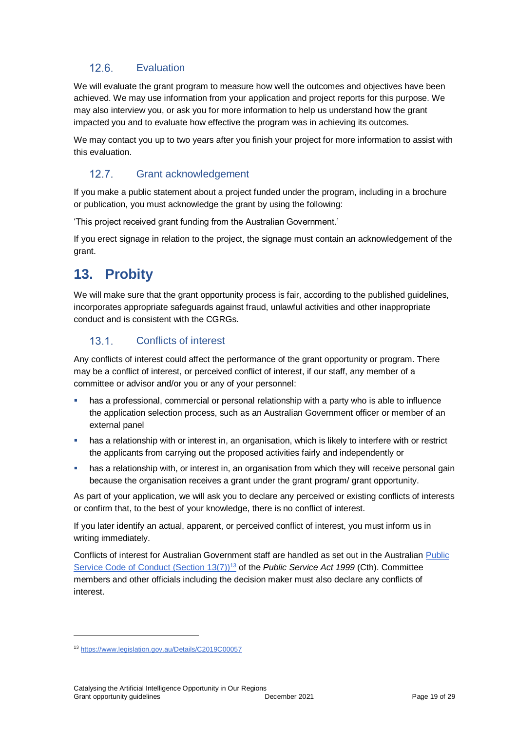#### $12.6.$ **Evaluation**

We will evaluate the grant program to measure how well the outcomes and objectives have been achieved. We may use information from your application and project reports for this purpose. We may also interview you, or ask you for more information to help us understand how the grant impacted you and to evaluate how effective the program was in achieving its outcomes.

We may contact you up to two years after you finish your project for more information to assist with this evaluation.

#### $12.7<sub>1</sub>$ Grant acknowledgement

If you make a public statement about a project funded under the program, including in a brochure or publication, you must acknowledge the grant by using the following:

'This project received grant funding from the Australian Government.'

If you erect signage in relation to the project, the signage must contain an acknowledgement of the grant.

## **13. Probity**

We will make sure that the grant opportunity process is fair, according to the published guidelines, incorporates appropriate safeguards against fraud, unlawful activities and other inappropriate conduct and is consistent with the CGRGs.

#### $13.1.$ Conflicts of interest

Any conflicts of interest could affect the performance of the grant opportunity or program. There may be a [conflict of interest,](http://www.apsc.gov.au/publications-and-media/current-publications/aps-values-and-code-of-conduct-in-practice/conflict-of-interest) or perceived conflict of interest, if our staff, any member of a committee or advisor and/or you or any of your personnel:

- has a professional, commercial or personal relationship with a party who is able to influence the application selection process, such as an Australian Government officer or member of an external panel
- has a relationship with or interest in, an organisation, which is likely to interfere with or restrict the applicants from carrying out the proposed activities fairly and independently or
- **•** has a relationship with, or interest in, an organisation from which they will receive personal gain because the organisation receives a grant under the grant program/ grant opportunity.

As part of your application, we will ask you to declare any perceived or existing conflicts of interests or confirm that, to the best of your knowledge, there is no conflict of interest.

If you later identify an actual, apparent, or perceived conflict of interest, you must inform us in writing immediately.

Conflicts of interest for Australian Government staff are handled as set out in the Australian [Public](https://www.legislation.gov.au/Details/C2019C00057)  [Service Code of Conduct \(Section 13\(7\)\)](https://www.legislation.gov.au/Details/C2019C00057)<sup>13</sup> of the *Public Service Act 1999* (Cth). Committee members and other officials including the decision maker must also declare any conflicts of interest.

<sup>13</sup> https://www.legislation.gov.au/Details/C2019C00057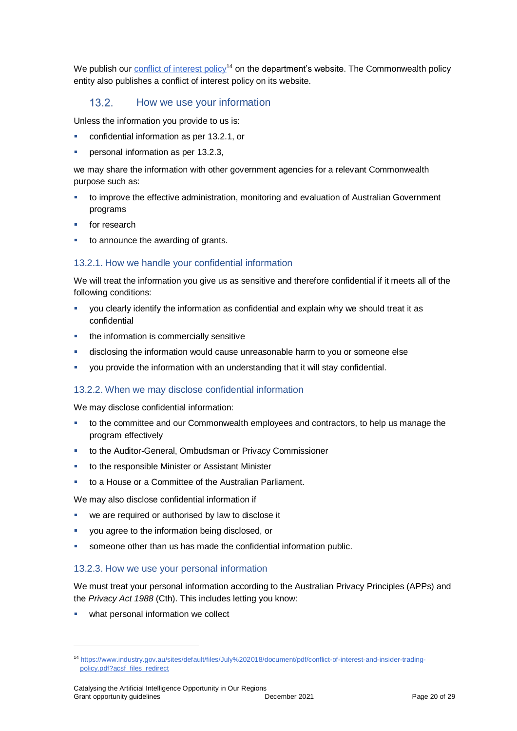We publish our [conflict of interest policy](https://www.industry.gov.au/sites/g/files/net3906/f/July%202018/document/pdf/conflict-of-interest-and-insider-trading-policy.pdf)<sup>14</sup> on the department's website. The Commonwealth policy entity also publishes a conflict of interest policy on its website.

#### $132$ How we use your information

Unless the information you provide to us is:

- confidential information as per [13.2.1,](#page-19-0) or
- personal information as per [13.2.3,](#page-19-1)

we may share the information with other government agencies for a relevant Commonwealth purpose such as:

- to improve the effective administration, monitoring and evaluation of Australian Government programs
- for research
- to announce the awarding of grants.

## <span id="page-19-0"></span>13.2.1. How we handle your confidential information

We will treat the information you give us as sensitive and therefore confidential if it meets all of the following conditions:

- you clearly identify the information as confidential and explain why we should treat it as confidential
- the information is commercially sensitive
- **disclosing the information would cause unreasonable harm to you or someone else**
- you provide the information with an understanding that it will stay confidential.

## 13.2.2. When we may disclose confidential information

We may disclose confidential information:

- to the committee and our Commonwealth employees and contractors, to help us manage the program effectively
- to the Auditor-General, Ombudsman or Privacy Commissioner
- to the responsible Minister or Assistant Minister
- to a House or a Committee of the Australian Parliament.

We may also disclose confidential information if

- we are required or authorised by law to disclose it
- you agree to the information being disclosed, or
- someone other than us has made the confidential information public.

## <span id="page-19-1"></span>13.2.3. How we use your personal information

We must treat your personal information according to the Australian Privacy Principles (APPs) and the *Privacy Act 1988* (Cth). This includes letting you know:

what personal information we collect

<sup>14</sup> [https://www.industry.gov.au/sites/default/files/July%202018/document/pdf/conflict-of-interest-and-insider-trading](https://www.industry.gov.au/sites/default/files/July%202018/document/pdf/conflict-of-interest-and-insider-trading-policy.pdf?acsf_files_redirect)[policy.pdf?acsf\\_files\\_redirect](https://www.industry.gov.au/sites/default/files/July%202018/document/pdf/conflict-of-interest-and-insider-trading-policy.pdf?acsf_files_redirect)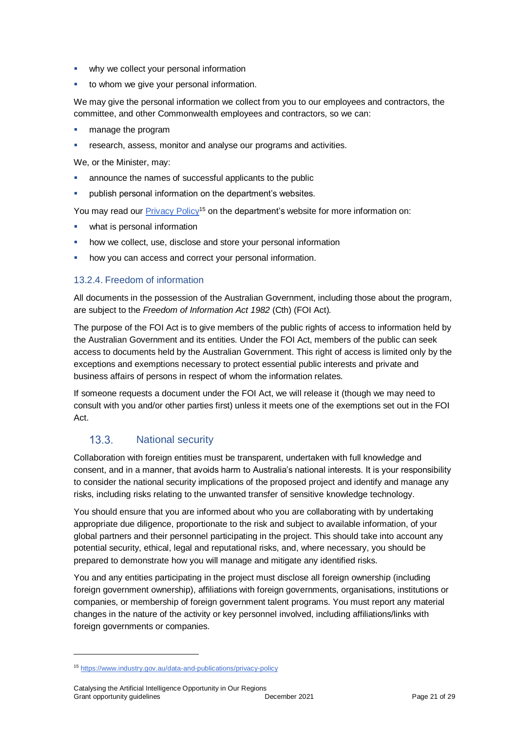- **•** why we collect your personal information
- **to whom we give your personal information.**

We may give the personal information we collect from you to our employees and contractors, the committee, and other Commonwealth employees and contractors, so we can:

- manage the program
- **Fall analysism** research, assess, monitor and analyse our programs and activities.

We, or the Minister, may:

- announce the names of successful applicants to the public
- **•** publish personal information on the department's websites.

You may read our [Privacy Policy](https://www.industry.gov.au/data-and-publications/privacy-policy)<sup>15</sup> on the department's website for more information on:

- what is personal information
- how we collect, use, disclose and store your personal information
- how you can access and correct your personal information.

## 13.2.4. Freedom of information

All documents in the possession of the Australian Government, including those about the program, are subject to the *Freedom of Information Act 1982* (Cth) (FOI Act)*.*

The purpose of the FOI Act is to give members of the public rights of access to information held by the Australian Government and its entities. Under the FOI Act, members of the public can seek access to documents held by the Australian Government. This right of access is limited only by the exceptions and exemptions necessary to protect essential public interests and private and business affairs of persons in respect of whom the information relates.

If someone requests a document under the FOI Act, we will release it (though we may need to consult with you and/or other parties first) unless it meets one of the exemptions set out in the FOI Act.

#### $13.3.$ National security

Collaboration with foreign entities must be transparent, undertaken with full knowledge and consent, and in a manner, that avoids harm to Australia's national interests. It is your responsibility to consider the national security implications of the proposed project and identify and manage any risks, including risks relating to the unwanted transfer of sensitive knowledge technology.

You should ensure that you are informed about who you are collaborating with by undertaking appropriate due diligence, proportionate to the risk and subject to available information, of your global partners and their personnel participating in the project. This should take into account any potential security, ethical, legal and reputational risks, and, where necessary, you should be prepared to demonstrate how you will manage and mitigate any identified risks.

You and any entities participating in the project must disclose all foreign ownership (including foreign government ownership), affiliations with foreign governments, organisations, institutions or companies, or membership of foreign government talent programs. You must report any material changes in the nature of the activity or key personnel involved, including affiliations/links with foreign governments or companies.

<sup>15</sup> <https://www.industry.gov.au/data-and-publications/privacy-policy>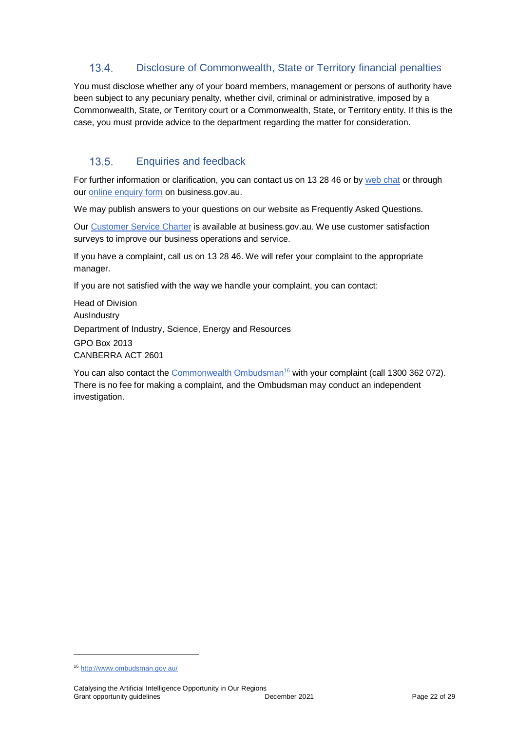#### $13.4.$ Disclosure of Commonwealth, State or Territory financial penalties

You must disclose whether any of your board members, management or persons of authority have been subject to any pecuniary penalty, whether civil, criminal or administrative, imposed by a Commonwealth, State, or Territory court or a Commonwealth, State, or Territory entity. If this is the case, you must provide advice to the department regarding the matter for consideration.

#### $13.5.$ Enquiries and feedback

For further information or clarification, you can contact us on 13 28 46 or by [web chat](https://www.business.gov.au/contact-us) or through our [online enquiry form](http://www.business.gov.au/contact-us/Pages/default.aspx) on business.gov.au.

We may publish answers to your questions on our website as Frequently Asked Questions.

Our [Customer Service Charter](https://www.business.gov.au/about/customer-service-charter) is available at [business.gov.au.](http://www.business.gov.au/) We use customer satisfaction surveys to improve our business operations and service.

If you have a complaint, call us on 13 28 46. We will refer your complaint to the appropriate manager.

If you are not satisfied with the way we handle your complaint, you can contact:

Head of Division AusIndustry Department of Industry, Science, Energy and Resources GPO Box 2013 CANBERRA ACT 2601

You can also contact the [Commonwealth Ombudsman](http://www.ombudsman.gov.au/)<sup>16</sup> with your complaint (call 1300 362 072). There is no fee for making a complaint, and the Ombudsman may conduct an independent investigation.

<sup>16</sup> <http://www.ombudsman.gov.au/>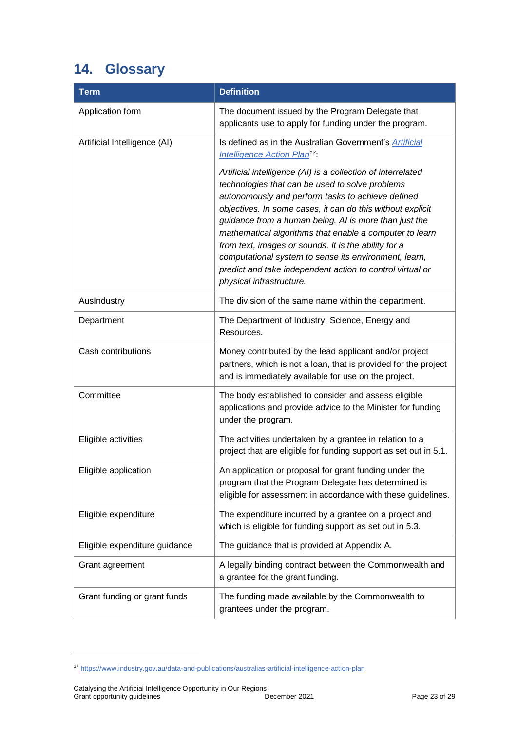## <span id="page-22-0"></span>**14. Glossary**

| <b>Term</b>                   | <b>Definition</b>                                                                                                                                                                                                                                                                                                                                                                                                                                                                                                                                                |
|-------------------------------|------------------------------------------------------------------------------------------------------------------------------------------------------------------------------------------------------------------------------------------------------------------------------------------------------------------------------------------------------------------------------------------------------------------------------------------------------------------------------------------------------------------------------------------------------------------|
| Application form              | The document issued by the Program Delegate that<br>applicants use to apply for funding under the program.                                                                                                                                                                                                                                                                                                                                                                                                                                                       |
| Artificial Intelligence (AI)  | Is defined as in the Australian Government's Artificial<br><b>Intelligence Action Plan<sup>17</sup></b> :                                                                                                                                                                                                                                                                                                                                                                                                                                                        |
|                               | Artificial intelligence (AI) is a collection of interrelated<br>technologies that can be used to solve problems<br>autonomously and perform tasks to achieve defined<br>objectives. In some cases, it can do this without explicit<br>guidance from a human being. AI is more than just the<br>mathematical algorithms that enable a computer to learn<br>from text, images or sounds. It is the ability for a<br>computational system to sense its environment, learn,<br>predict and take independent action to control virtual or<br>physical infrastructure. |
| AusIndustry                   | The division of the same name within the department.                                                                                                                                                                                                                                                                                                                                                                                                                                                                                                             |
| Department                    | The Department of Industry, Science, Energy and<br>Resources.                                                                                                                                                                                                                                                                                                                                                                                                                                                                                                    |
| Cash contributions            | Money contributed by the lead applicant and/or project<br>partners, which is not a loan, that is provided for the project<br>and is immediately available for use on the project.                                                                                                                                                                                                                                                                                                                                                                                |
| Committee                     | The body established to consider and assess eligible<br>applications and provide advice to the Minister for funding<br>under the program.                                                                                                                                                                                                                                                                                                                                                                                                                        |
| Eligible activities           | The activities undertaken by a grantee in relation to a<br>project that are eligible for funding support as set out in 5.1.                                                                                                                                                                                                                                                                                                                                                                                                                                      |
| Eligible application          | An application or proposal for grant funding under the<br>program that the Program Delegate has determined is<br>eligible for assessment in accordance with these guidelines.                                                                                                                                                                                                                                                                                                                                                                                    |
| Eligible expenditure          | The expenditure incurred by a grantee on a project and<br>which is eligible for funding support as set out in 5.3.                                                                                                                                                                                                                                                                                                                                                                                                                                               |
| Eligible expenditure guidance | The guidance that is provided at Appendix A.                                                                                                                                                                                                                                                                                                                                                                                                                                                                                                                     |
| Grant agreement               | A legally binding contract between the Commonwealth and<br>a grantee for the grant funding.                                                                                                                                                                                                                                                                                                                                                                                                                                                                      |
| Grant funding or grant funds  | The funding made available by the Commonwealth to<br>grantees under the program.                                                                                                                                                                                                                                                                                                                                                                                                                                                                                 |

<sup>17</sup> <https://www.industry.gov.au/data-and-publications/australias-artificial-intelligence-action-plan>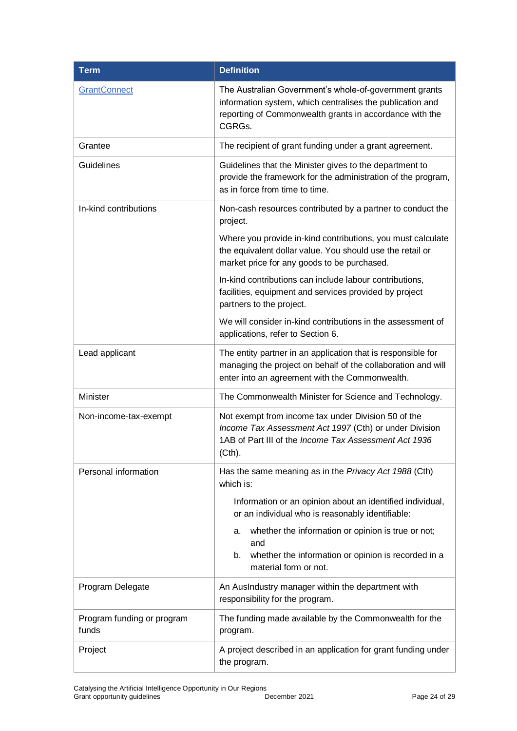| <b>Term</b>                         | <b>Definition</b>                                                                                                                                                                        |
|-------------------------------------|------------------------------------------------------------------------------------------------------------------------------------------------------------------------------------------|
| GrantConnect                        | The Australian Government's whole-of-government grants<br>information system, which centralises the publication and<br>reporting of Commonwealth grants in accordance with the<br>CGRGs. |
| Grantee                             | The recipient of grant funding under a grant agreement.                                                                                                                                  |
| Guidelines                          | Guidelines that the Minister gives to the department to<br>provide the framework for the administration of the program,<br>as in force from time to time.                                |
| In-kind contributions               | Non-cash resources contributed by a partner to conduct the<br>project.                                                                                                                   |
|                                     | Where you provide in-kind contributions, you must calculate<br>the equivalent dollar value. You should use the retail or<br>market price for any goods to be purchased.                  |
|                                     | In-kind contributions can include labour contributions,<br>facilities, equipment and services provided by project<br>partners to the project.                                            |
|                                     | We will consider in-kind contributions in the assessment of<br>applications, refer to Section 6.                                                                                         |
| Lead applicant                      | The entity partner in an application that is responsible for<br>managing the project on behalf of the collaboration and will<br>enter into an agreement with the Commonwealth.           |
| Minister                            | The Commonwealth Minister for Science and Technology.                                                                                                                                    |
| Non-income-tax-exempt               | Not exempt from income tax under Division 50 of the<br>Income Tax Assessment Act 1997 (Cth) or under Division<br>1AB of Part III of the Income Tax Assessment Act 1936<br>(Cth).         |
| Personal information                | Has the same meaning as in the Privacy Act 1988 (Cth)<br>which is:                                                                                                                       |
|                                     | Information or an opinion about an identified individual,<br>or an individual who is reasonably identifiable:                                                                            |
|                                     | whether the information or opinion is true or not;<br>а.<br>and                                                                                                                          |
|                                     | whether the information or opinion is recorded in a<br>b.<br>material form or not.                                                                                                       |
| Program Delegate                    | An AusIndustry manager within the department with<br>responsibility for the program.                                                                                                     |
| Program funding or program<br>funds | The funding made available by the Commonwealth for the<br>program.                                                                                                                       |
| Project                             | A project described in an application for grant funding under<br>the program.                                                                                                            |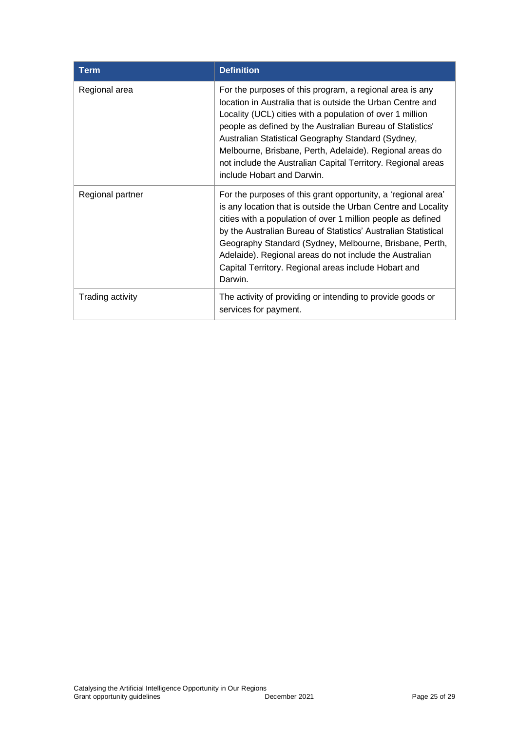| <b>Term</b>      | <b>Definition</b>                                                                                                                                                                                                                                                                                                                                                                                                                                                |
|------------------|------------------------------------------------------------------------------------------------------------------------------------------------------------------------------------------------------------------------------------------------------------------------------------------------------------------------------------------------------------------------------------------------------------------------------------------------------------------|
| Regional area    | For the purposes of this program, a regional area is any<br>location in Australia that is outside the Urban Centre and<br>Locality (UCL) cities with a population of over 1 million<br>people as defined by the Australian Bureau of Statistics'<br>Australian Statistical Geography Standard (Sydney,<br>Melbourne, Brisbane, Perth, Adelaide). Regional areas do<br>not include the Australian Capital Territory. Regional areas<br>include Hobart and Darwin. |
| Regional partner | For the purposes of this grant opportunity, a 'regional area'<br>is any location that is outside the Urban Centre and Locality<br>cities with a population of over 1 million people as defined<br>by the Australian Bureau of Statistics' Australian Statistical<br>Geography Standard (Sydney, Melbourne, Brisbane, Perth,<br>Adelaide). Regional areas do not include the Australian<br>Capital Territory. Regional areas include Hobart and<br>Darwin.        |
| Trading activity | The activity of providing or intending to provide goods or<br>services for payment.                                                                                                                                                                                                                                                                                                                                                                              |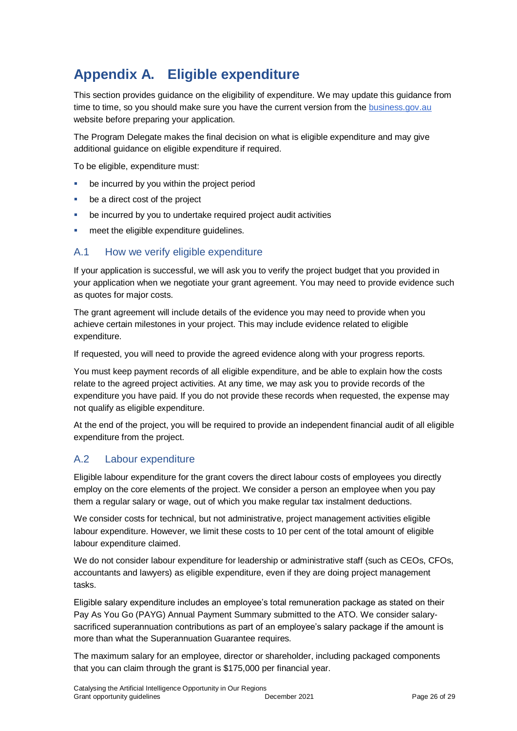## **Appendix A. Eligible expenditure**

This section provides guidance on the eligibility of expenditure. We may update this guidance from time to time, so you should make sure you have the current version from th[e business.gov.au](https://business.gov.au/grants-and-programs/catalysing-the-artificial-intelligence-opportunity-in-our-regions-round-1#key-documents) website before preparing your application.

The Program Delegate makes the final decision on what is eligible expenditure and may give additional quidance on eligible expenditure if required.

To be eligible, expenditure must:

- be incurred by you within the project period
- **be a direct cost of the project**
- be incurred by you to undertake required project audit activities
- meet the eligible expenditure guidelines.

## A.1 How we verify eligible expenditure

If your application is successful, we will ask you to verify the project budget that you provided in your application when we negotiate your grant agreement. You may need to provide evidence such as quotes for major costs.

The grant agreement will include details of the evidence you may need to provide when you achieve certain milestones in your project. This may include evidence related to eligible expenditure.

If requested, you will need to provide the agreed evidence along with your progress reports.

You must keep payment records of all eligible expenditure, and be able to explain how the costs relate to the agreed project activities. At any time, we may ask you to provide records of the expenditure you have paid. If you do not provide these records when requested, the expense may not qualify as eligible expenditure.

At the end of the project, you will be required to provide an independent financial audit of all eligible expenditure from the project.

## A.2 Labour expenditure

Eligible labour expenditure for the grant covers the direct labour costs of employees you directly employ on the core elements of the project. We consider a person an employee when you pay them a regular salary or wage, out of which you make regular tax instalment deductions.

We consider costs for technical, but not administrative, project management activities eligible labour expenditure. However, we limit these costs to 10 per cent of the total amount of eligible labour expenditure claimed.

We do not consider labour expenditure for leadership or administrative staff (such as CEOs, CFOs, accountants and lawyers) as eligible expenditure, even if they are doing project management tasks.

Eligible salary expenditure includes an employee's total remuneration package as stated on their Pay As You Go (PAYG) Annual Payment Summary submitted to the ATO. We consider salarysacrificed superannuation contributions as part of an employee's salary package if the amount is more than what the Superannuation Guarantee requires.

The maximum salary for an employee, director or shareholder, including packaged components that you can claim through the grant is \$175,000 per financial year.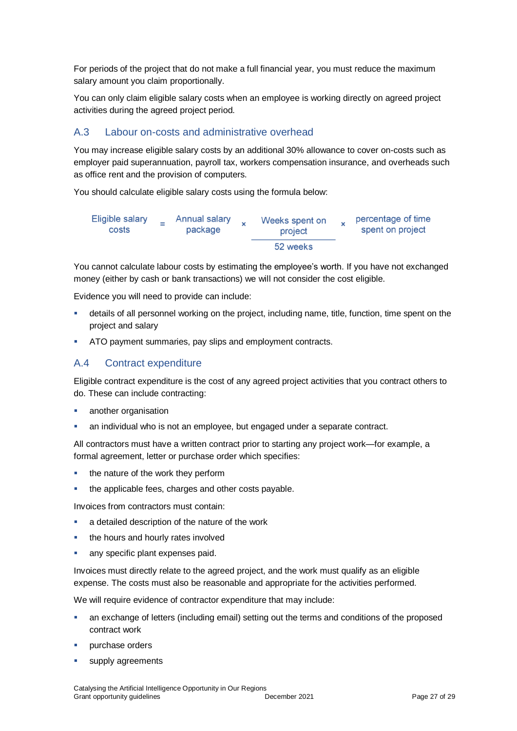For periods of the project that do not make a full financial year, you must reduce the maximum salary amount you claim proportionally.

You can only claim eligible salary costs when an employee is working directly on agreed project activities during the agreed project period.

## A.3 Labour on-costs and administrative overhead

You may increase eligible salary costs by an additional 30% allowance to cover on-costs such as employer paid superannuation, payroll tax, workers compensation insurance, and overheads such as office rent and the provision of computers.

You should calculate eligible salary costs using the formula below:



You cannot calculate labour costs by estimating the employee's worth. If you have not exchanged money (either by cash or bank transactions) we will not consider the cost eligible.

Evidence you will need to provide can include:

- details of all personnel working on the project, including name, title, function, time spent on the project and salary
- ATO payment summaries, pay slips and employment contracts.

## A.4 Contract expenditure

Eligible contract expenditure is the cost of any agreed project activities that you contract others to do. These can include contracting:

- **another organisation**
- an individual who is not an employee, but engaged under a separate contract.

All contractors must have a written contract prior to starting any project work—for example, a formal agreement, letter or purchase order which specifies:

- the nature of the work they perform
- the applicable fees, charges and other costs payable.

Invoices from contractors must contain:

- a detailed description of the nature of the work
- the hours and hourly rates involved
- any specific plant expenses paid.

Invoices must directly relate to the agreed project, and the work must qualify as an eligible expense. The costs must also be reasonable and appropriate for the activities performed.

We will require evidence of contractor expenditure that may include:

- an exchange of letters (including email) setting out the terms and conditions of the proposed contract work
- **purchase orders**
- supply agreements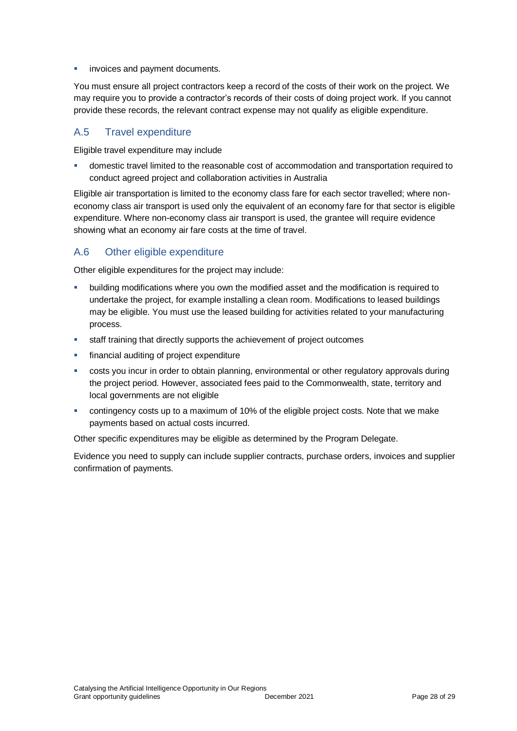invoices and payment documents.

You must ensure all project contractors keep a record of the costs of their work on the project. We may require you to provide a contractor's records of their costs of doing project work. If you cannot provide these records, the relevant contract expense may not qualify as eligible expenditure.

## A.5 Travel expenditure

Eligible travel expenditure may include

 domestic travel limited to the reasonable cost of accommodation and transportation required to conduct agreed project and collaboration activities in Australia

Eligible air transportation is limited to the economy class fare for each sector travelled; where noneconomy class air transport is used only the equivalent of an economy fare for that sector is eligible expenditure. Where non-economy class air transport is used, the grantee will require evidence showing what an economy air fare costs at the time of travel.

## A.6 Other eligible expenditure

Other eligible expenditures for the project may include:

- building modifications where you own the modified asset and the modification is required to undertake the project, for example installing a clean room. Modifications to leased buildings may be eligible. You must use the leased building for activities related to your manufacturing process.
- staff training that directly supports the achievement of project outcomes
- **financial auditing of project expenditure**
- costs you incur in order to obtain planning, environmental or other regulatory approvals during the project period. However, associated fees paid to the Commonwealth, state, territory and local governments are not eligible
- contingency costs up to a maximum of 10% of the eligible project costs. Note that we make payments based on actual costs incurred.

Other specific expenditures may be eligible as determined by the Program Delegate.

Evidence you need to supply can include supplier contracts, purchase orders, invoices and supplier confirmation of payments.